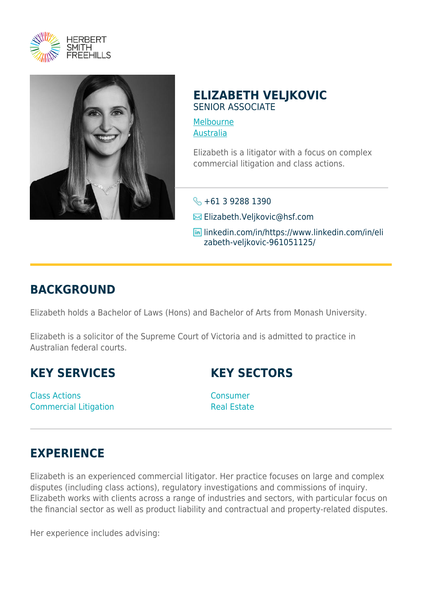



## **ELIZABETH VELJKOVIC** SENIOR ASSOCIATE

[Melbourne](https://www.herbertsmithfreehills.com/where-we-work/melbourne) [Australia](https://www.herbertsmithfreehills.com/where-we-work/australia)

Elizabeth is a litigator with a focus on complex commercial litigation and class actions.

- $\leftarrow +61$  3 9288 1390
- **Elizabeth.Veljkovic**@hsf.com
- linkedin.com/in/https://www.linkedin.com/in/eli zabeth-veljkovic-961051125/

## **BACKGROUND**

Elizabeth holds a Bachelor of Laws (Hons) and Bachelor of Arts from Monash University.

Elizabeth is a solicitor of the Supreme Court of Victoria and is admitted to practice in Australian federal courts.

**KEY SERVICES**

Class Actions Commercial Litigation **KEY SECTORS**

**Consumer** Real Estate

## **EXPERIENCE**

Elizabeth is an experienced commercial litigator. Her practice focuses on large and complex disputes (including class actions), regulatory investigations and commissions of inquiry. Elizabeth works with clients across a range of industries and sectors, with particular focus on the financial sector as well as product liability and contractual and property-related disputes.

Her experience includes advising: